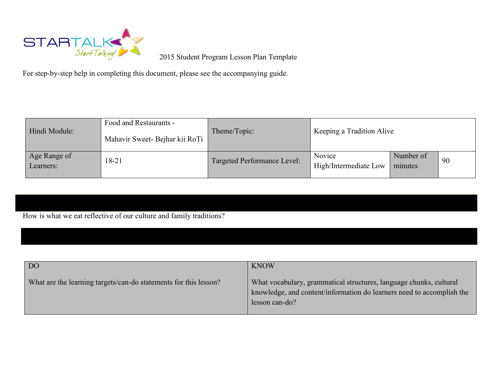

2015 Student Program Lesson Plan Template

For step-by-step help in completing this document, please see the accompanying guide.

| Hindi Module:             | Food and Restaurants -<br>Mahavir Sweet- Bejhar kii RoTi | Theme/Topic:                | Keeping a Tradition Alive       |                      |    |
|---------------------------|----------------------------------------------------------|-----------------------------|---------------------------------|----------------------|----|
| Age Range of<br>Learners: | 18-21                                                    | Targeted Performance Level: | Novice<br>High/Intermediate Low | Number of<br>minutes | 90 |

How is what we eat reflective of our culture and family traditions?

| DO <sub>1</sub>                                                  | <b>KNOW</b>                                                                                                                                                   |
|------------------------------------------------------------------|---------------------------------------------------------------------------------------------------------------------------------------------------------------|
| What are the learning targets/can-do statements for this lesson? | What vocabulary, grammatical structures, language chunks, cultural<br>knowledge, and content/information do learners need to accomplish the<br>lesson can-do? |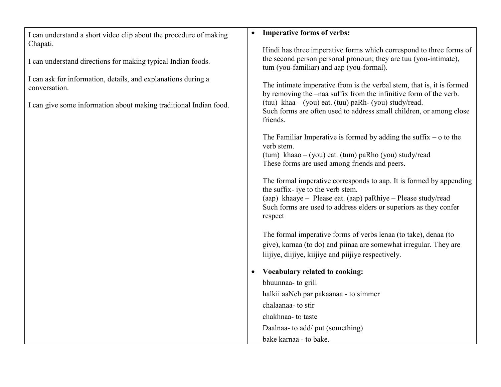| I can understand a short video clip about the procedure of making                                                                                                                                                               | <b>Imperative forms of verbs:</b><br>$\bullet$                                                                                                                                                                                                                                                                                                                                                                                                                       |
|---------------------------------------------------------------------------------------------------------------------------------------------------------------------------------------------------------------------------------|----------------------------------------------------------------------------------------------------------------------------------------------------------------------------------------------------------------------------------------------------------------------------------------------------------------------------------------------------------------------------------------------------------------------------------------------------------------------|
| Chapati.<br>I can understand directions for making typical Indian foods.<br>I can ask for information, details, and explanations during a<br>conversation.<br>I can give some information about making traditional Indian food. | Hindi has three imperative forms which correspond to three forms of<br>the second person personal pronoun; they are tuu (you-intimate),<br>tum (you-familiar) and aap (you-formal).<br>The intimate imperative from is the verbal stem, that is, it is formed<br>by removing the -naa suffix from the infinitive form of the verb.<br>(tuu) khaa $-$ (you) eat. (tuu) paRh- (you) study/read.<br>Such forms are often used to address small children, or among close |
|                                                                                                                                                                                                                                 | friends.<br>The Familiar Imperative is formed by adding the suffix $-$ o to the<br>verb stem.<br>$(tum)$ khaao – (you) eat. (tum) paRho (you) study/read                                                                                                                                                                                                                                                                                                             |
|                                                                                                                                                                                                                                 | These forms are used among friends and peers.<br>The formal imperative corresponds to aap. It is formed by appending<br>the suffix- iye to the verb stem.<br>(aap) khaaye – Please eat. (aap) paRhiye – Please study/read                                                                                                                                                                                                                                            |
|                                                                                                                                                                                                                                 | Such forms are used to address elders or superiors as they confer<br>respect<br>The formal imperative forms of verbs lenaa (to take), denaa (to                                                                                                                                                                                                                                                                                                                      |
|                                                                                                                                                                                                                                 | give), karnaa (to do) and piinaa are somewhat irregular. They are<br>liijiye, diijiye, kiijiye and piijiye respectively.<br>Vocabulary related to cooking:                                                                                                                                                                                                                                                                                                           |
|                                                                                                                                                                                                                                 | bhuunnaa- to grill<br>halkii aaNch par pakaanaa - to simmer<br>chalaanaa- to stir                                                                                                                                                                                                                                                                                                                                                                                    |
|                                                                                                                                                                                                                                 | chakhnaa- to taste<br>Daalnaa- to add/ put (something)<br>bake karnaa - to bake.                                                                                                                                                                                                                                                                                                                                                                                     |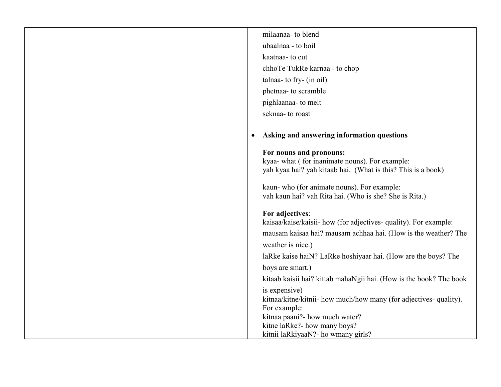| milaanaa- to blend                                                 |
|--------------------------------------------------------------------|
| ubaalnaa - to boil                                                 |
| kaatnaa- to cut                                                    |
| chhoTe TukRe karnaa - to chop                                      |
| talnaa- to fry- (in oil)                                           |
| phetnaa- to scramble                                               |
| pighlaanaa- to melt                                                |
| seknaa- to roast                                                   |
|                                                                    |
| Asking and answering information questions                         |
| For nouns and pronouns:                                            |
| kyaa- what (for inanimate nouns). For example:                     |
| yah kyaa hai? yah kitaab hai. (What is this? This is a book)       |
| kaun- who (for animate nouns). For example:                        |
| vah kaun hai? vah Rita hai. (Who is she? She is Rita.)             |
| For adjectives:                                                    |
| kaisaa/kaise/kaisii- how (for adjectives- quality). For example:   |
| mausam kaisaa hai? mausam achhaa hai. (How is the weather? The     |
| weather is nice.)                                                  |
| laRke kaise haiN? LaRke hoshiyaar hai. (How are the boys? The      |
| boys are smart.)                                                   |
| kitaab kaisii hai? kittab mahaNgii hai. (How is the book? The book |
| is expensive)                                                      |
| kitnaa/kitne/kitnii- how much/how many (for adjectives- quality).  |
| For example:                                                       |
| kitnaa paani?- how much water?<br>kitne laRke?- how many boys?     |
| kitnii laRkiyaaN?- ho wmany girls?                                 |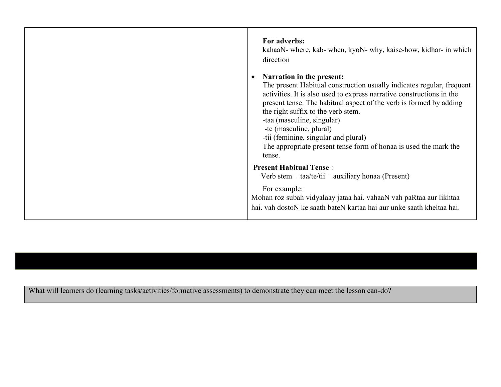| For adverbs:<br>kahaaN- where, kab- when, kyoN- why, kaise-how, kidhar- in which<br>direction<br>Narration in the present:<br>The present Habitual construction usually indicates regular, frequent<br>activities. It is also used to express narrative constructions in the<br>present tense. The habitual aspect of the verb is formed by adding<br>the right suffix to the verb stem.<br>-taa (masculine, singular)<br>-te (masculine, plural)<br>-tii (feminine, singular and plural)<br>The appropriate present tense form of honaa is used the mark the<br>tense. |
|-------------------------------------------------------------------------------------------------------------------------------------------------------------------------------------------------------------------------------------------------------------------------------------------------------------------------------------------------------------------------------------------------------------------------------------------------------------------------------------------------------------------------------------------------------------------------|
| <b>Present Habitual Tense:</b><br>Verb stem + $taa/te/tii$ + $auxiliary honaa$ (Present)                                                                                                                                                                                                                                                                                                                                                                                                                                                                                |
| For example:<br>Mohan roz subah vidyalaay jataa hai. vahaaN vah paRtaa aur likhtaa<br>hai, vah dostoN ke saath bateN kartaa hai aur unke saath kheltaa hai.                                                                                                                                                                                                                                                                                                                                                                                                             |

What will learners do (learning tasks/activities/formative assessments) to demonstrate they can meet the lesson can-do?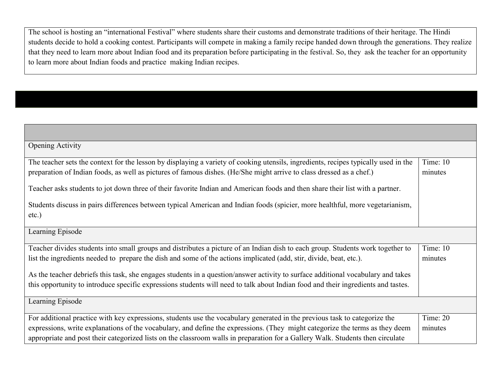The school is hosting an "international Festival" where students share their customs and demonstrate traditions of their heritage. The Hindi students decide to hold a cooking contest. Participants will compete in making a family recipe handed down through the generations. They realize that they need to learn more about Indian food and its preparation before participating in the festival. So, they ask the teacher for an opportunity to learn more about Indian foods and practice making Indian recipes.

| <b>Opening Activity</b>                                                                                                             |            |
|-------------------------------------------------------------------------------------------------------------------------------------|------------|
| The teacher sets the context for the lesson by displaying a variety of cooking utensils, ingredients, recipes typically used in the | Time: 10   |
| preparation of Indian foods, as well as pictures of famous dishes. (He/She might arrive to class dressed as a chef.)                | minutes    |
| Teacher asks students to jot down three of their favorite Indian and American foods and then share their list with a partner.       |            |
| Students discuss in pairs differences between typical American and Indian foods (spicier, more healthful, more vegetarianism,       |            |
| $etc.$ )                                                                                                                            |            |
| Learning Episode                                                                                                                    |            |
| Teacher divides students into small groups and distributes a picture of an Indian dish to each group. Students work together to     | Time: 10   |
| list the ingredients needed to prepare the dish and some of the actions implicated (add, stir, divide, beat, etc.).                 | minutes    |
| As the teacher debriefs this task, she engages students in a question/answer activity to surface additional vocabulary and takes    |            |
| this opportunity to introduce specific expressions students will need to talk about Indian food and their ingredients and tastes.   |            |
| Learning Episode                                                                                                                    |            |
| For additional practice with key expressions, students use the vocabulary generated in the previous task to categorize the          | Time: $20$ |
| expressions, write explanations of the vocabulary, and define the expressions. (They might categorize the terms as they deem        | minutes    |
| appropriate and post their categorized lists on the classroom walls in preparation for a Gallery Walk. Students then circulate      |            |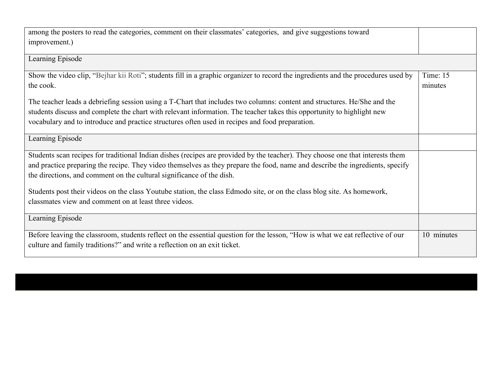| among the posters to read the categories, comment on their classmates' categories, and give suggestions toward<br>improvement.)                                                                                                                                                                                                                       |                       |
|-------------------------------------------------------------------------------------------------------------------------------------------------------------------------------------------------------------------------------------------------------------------------------------------------------------------------------------------------------|-----------------------|
| Learning Episode                                                                                                                                                                                                                                                                                                                                      |                       |
| Show the video clip, "Bejhar kii Roti"; students fill in a graphic organizer to record the ingredients and the procedures used by<br>the cook.                                                                                                                                                                                                        | Time: $15$<br>minutes |
| The teacher leads a debriefing session using a T-Chart that includes two columns: content and structures. He/She and the<br>students discuss and complete the chart with relevant information. The teacher takes this opportunity to highlight new<br>vocabulary and to introduce and practice structures often used in recipes and food preparation. |                       |
| Learning Episode                                                                                                                                                                                                                                                                                                                                      |                       |
| Students scan recipes for traditional Indian dishes (recipes are provided by the teacher). They choose one that interests them<br>and practice preparing the recipe. They video themselves as they prepare the food, name and describe the ingredients, specify<br>the directions, and comment on the cultural significance of the dish.              |                       |
| Students post their videos on the class Youtube station, the class Edmodo site, or on the class blog site. As homework,<br>classmates view and comment on at least three videos.                                                                                                                                                                      |                       |
| Learning Episode                                                                                                                                                                                                                                                                                                                                      |                       |
| Before leaving the classroom, students reflect on the essential question for the lesson, "How is what we eat reflective of our<br>culture and family traditions?" and write a reflection on an exit ticket.                                                                                                                                           | 10 minutes            |